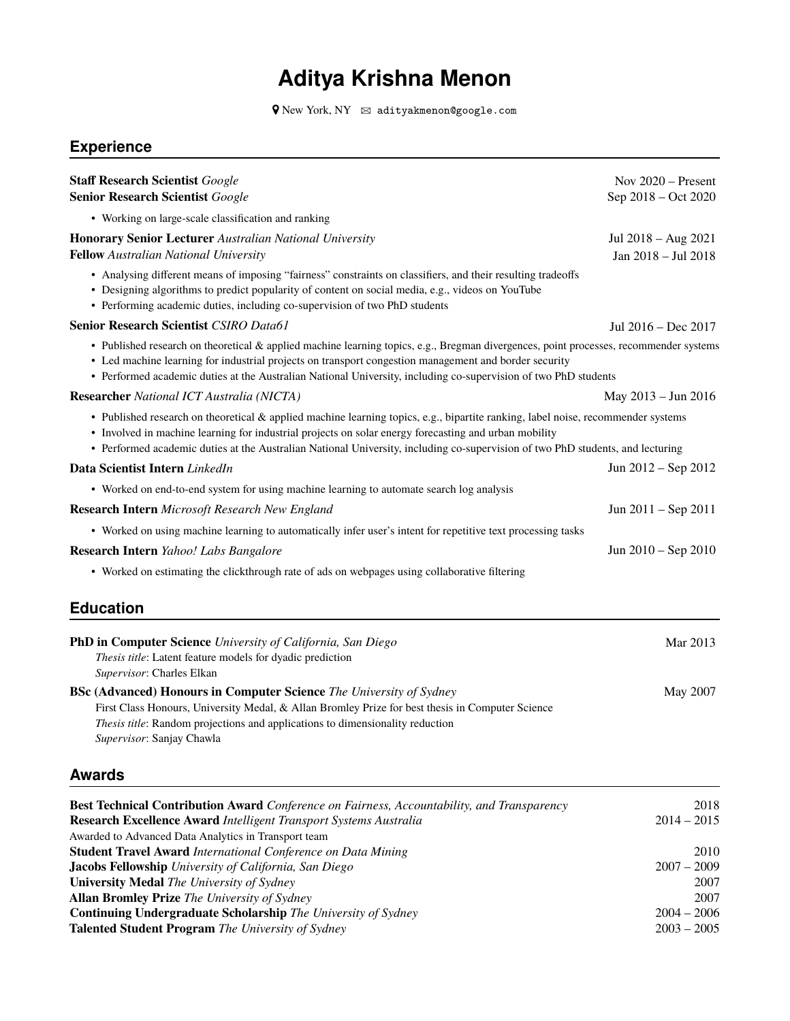# **Aditya Krishna Menon**

 $\blacklozenge$  New York, NY  $\;\;\boxtimes\;$  adityakmenon@google.com

## **Experience**

| <b>Staff Research Scientist Google</b>                                                                                                                                                                                                                                                                                                                                      | Nov $2020$ – Present                       |
|-----------------------------------------------------------------------------------------------------------------------------------------------------------------------------------------------------------------------------------------------------------------------------------------------------------------------------------------------------------------------------|--------------------------------------------|
| <b>Senior Research Scientist Google</b>                                                                                                                                                                                                                                                                                                                                     | Sep 2018 - Oct 2020                        |
| • Working on large-scale classification and ranking                                                                                                                                                                                                                                                                                                                         |                                            |
| <b>Honorary Senior Lecturer Australian National University</b><br>Fellow Australian National University                                                                                                                                                                                                                                                                     | Jul 2018 – Aug 2021<br>Jan 2018 - Jul 2018 |
| • Analysing different means of imposing "fairness" constraints on classifiers, and their resulting tradeoffs<br>• Designing algorithms to predict popularity of content on social media, e.g., videos on YouTube<br>• Performing academic duties, including co-supervision of two PhD students                                                                              |                                            |
| <b>Senior Research Scientist CSIRO Data61</b>                                                                                                                                                                                                                                                                                                                               | Jul 2016 - Dec 2017                        |
| • Published research on theoretical & applied machine learning topics, e.g., Bregman divergences, point processes, recommender systems<br>• Led machine learning for industrial projects on transport congestion management and border security<br>• Performed academic duties at the Australian National University, including co-supervision of two PhD students          |                                            |
| <b>Researcher</b> National ICT Australia (NICTA)                                                                                                                                                                                                                                                                                                                            | May 2013 - Jun 2016                        |
| • Published research on theoretical & applied machine learning topics, e.g., bipartite ranking, label noise, recommender systems<br>• Involved in machine learning for industrial projects on solar energy forecasting and urban mobility<br>• Performed academic duties at the Australian National University, including co-supervision of two PhD students, and lecturing |                                            |
| Data Scientist Intern LinkedIn                                                                                                                                                                                                                                                                                                                                              | Jun $2012 -$ Sep $2012$                    |
| • Worked on end-to-end system for using machine learning to automate search log analysis                                                                                                                                                                                                                                                                                    |                                            |
| <b>Research Intern</b> Microsoft Research New England                                                                                                                                                                                                                                                                                                                       | Jun $2011 -$ Sep $2011$                    |
| • Worked on using machine learning to automatically infer user's intent for repetitive text processing tasks                                                                                                                                                                                                                                                                |                                            |
| Research Intern Yahoo! Labs Bangalore                                                                                                                                                                                                                                                                                                                                       | Jun 2010 – Sep 2010                        |
| • Worked on estimating the clickthrough rate of ads on webpages using collaborative filtering                                                                                                                                                                                                                                                                               |                                            |
| <b>Education</b>                                                                                                                                                                                                                                                                                                                                                            |                                            |
| PhD in Computer Science University of California, San Diego<br>Thesis title: Latent feature models for dyadic prediction<br>Supervisor: Charles Elkan                                                                                                                                                                                                                       | Mar 2013                                   |
| <b>BSc (Advanced) Honours in Computer Science</b> The University of Sydney<br>First Class Honours, University Medal, & Allan Bromley Prize for best thesis in Computer Science<br>Thesis title: Random projections and applications to dimensionality reduction<br>Supervisor: Sanjay Chawla                                                                                | May 2007                                   |
| <b>Awards</b>                                                                                                                                                                                                                                                                                                                                                               |                                            |
| Best Technical Contribution Award Conference on Fairness, Accountability, and Transparency<br>Research Excellence Award Intelligent Transport Systems Australia<br>Awarded to Advanced Data Analytics in Transport team                                                                                                                                                     | 2018<br>$2014 - 2015$                      |
| <b>Student Travel Award International Conference on Data Mining</b>                                                                                                                                                                                                                                                                                                         | 2010                                       |
| Jacobs Fellowship University of California, San Diego                                                                                                                                                                                                                                                                                                                       | $2007 - 2009$                              |
| <b>University Medal The University of Sydney</b><br><b>Allan Bromley Prize</b> The University of Sydney                                                                                                                                                                                                                                                                     | 2007<br>2007                               |
| <b>Continuing Undergraduate Scholarship</b> The University of Sydney                                                                                                                                                                                                                                                                                                        | $2004 - 2006$                              |
| Talented Student Program The University of Sydney                                                                                                                                                                                                                                                                                                                           | $2003 - 2005$                              |
|                                                                                                                                                                                                                                                                                                                                                                             |                                            |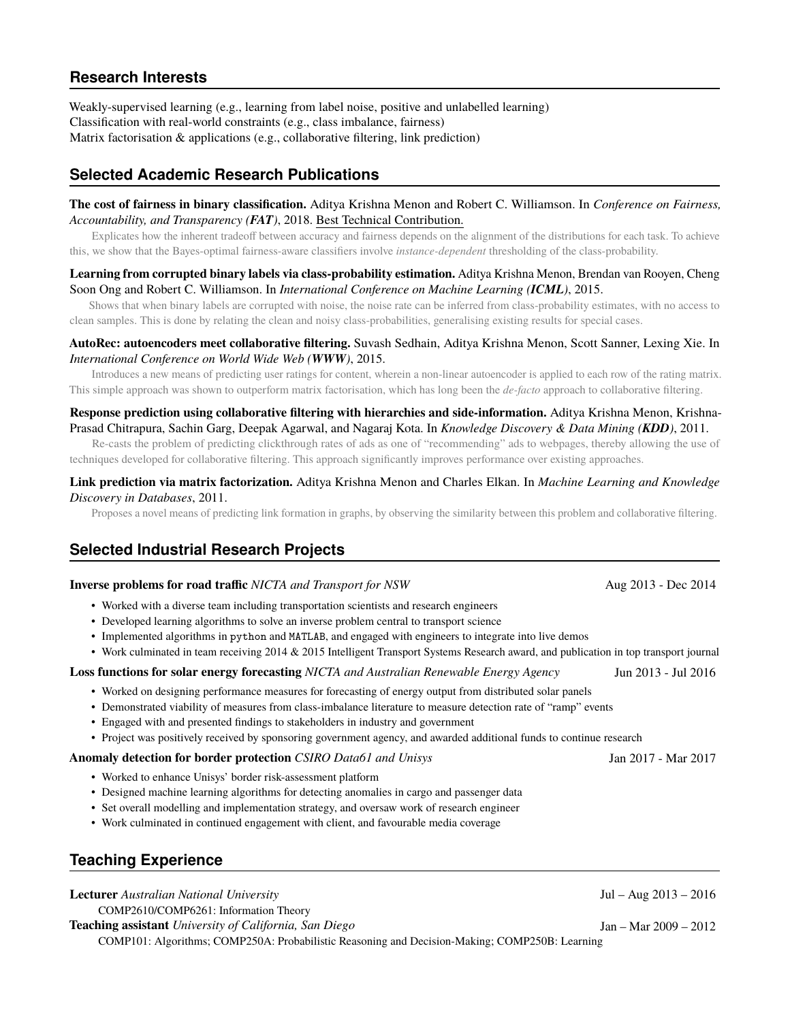## **Research Interests**

Weakly-supervised learning (e.g., learning from label noise, positive and unlabelled learning) Classification with real-world constraints (e.g., class imbalance, fairness) Matrix factorisation & applications (e.g., collaborative filtering, link prediction)

## **Selected Academic Research Publications**

### **The cost of fairness in binary classification.** Aditya Krishna Menon and Robert C. Williamson. In *Conference on Fairness, Accountability, and Transparency (FAT)*, 2018. Best Technical Contribution.

Explicates how the inherent tradeoff between accuracy and fairness depends on the alignment of the distributions for each task. To achieve this, we show that the Bayes-optimal fairness-aware classifiers involve *instance-dependent* thresholding of the class-probability.

#### **Learning from corrupted binary labels via class-probability estimation.** Aditya Krishna Menon, Brendan van Rooyen, Cheng Soon Ong and Robert C. Williamson. In *International Conference on Machine Learning (ICML)*, 2015.

Shows that when binary labels are corrupted with noise, the noise rate can be inferred from class-probability estimates, with no access to clean samples. This is done by relating the clean and noisy class-probabilities, generalising existing results for special cases.

#### **AutoRec: autoencoders meet collaborative filtering.** Suvash Sedhain, Aditya Krishna Menon, Scott Sanner, Lexing Xie. In *International Conference on World Wide Web (WWW)*, 2015.

Introduces a new means of predicting user ratings for content, wherein a non-linear autoencoder is applied to each row of the rating matrix. This simple approach was shown to outperform matrix factorisation, which has long been the *de-facto* approach to collaborative filtering.

#### **Response prediction using collaborative filtering with hierarchies and side-information.** Aditya Krishna Menon, Krishna-Prasad Chitrapura, Sachin Garg, Deepak Agarwal, and Nagaraj Kota. In *Knowledge Discovery & Data Mining (KDD)*, 2011.

Re-casts the problem of predicting clickthrough rates of ads as one of "recommending" ads to webpages, thereby allowing the use of techniques developed for collaborative filtering. This approach significantly improves performance over existing approaches.

#### **Link prediction via matrix factorization.** Aditya Krishna Menon and Charles Elkan. In *Machine Learning and Knowledge Discovery in Databases*, 2011.

Proposes a novel means of predicting link formation in graphs, by observing the similarity between this problem and collaborative filtering.

## **Selected Industrial Research Projects**

#### **Inverse problems for road traffic** *NICTA and Transport for NSW* Aug 2013 - Dec 2014

- Worked with a diverse team including transportation scientists and research engineers
- Developed learning algorithms to solve an inverse problem central to transport science
- Implemented algorithms in python and MATLAB, and engaged with engineers to integrate into live demos
- Work culminated in team receiving 2014 & 2015 Intelligent Transport Systems Research award, and publication in top transport journal

#### **Loss functions for solar energy forecasting** *NICTA and Australian Renewable Energy Agency* Jun 2013 - Jul 2016

- Worked on designing performance measures for forecasting of energy output from distributed solar panels
- Demonstrated viability of measures from class-imbalance literature to measure detection rate of "ramp" events
- Engaged with and presented findings to stakeholders in industry and government
- Project was positively received by sponsoring government agency, and awarded additional funds to continue research

#### **Anomaly detection for border protection** *CSIRO Data61 and Unisys* Jan 2017 - Mar 2017

- Worked to enhance Unisys' border risk-assessment platform
- Designed machine learning algorithms for detecting anomalies in cargo and passenger data
- Set overall modelling and implementation strategy, and oversaw work of research engineer
- Work culminated in continued engagement with client, and favourable media coverage

## **Teaching Experience**

**Lecturer** *Australian National University* Jul – Aug 2013 – 2016 COMP2610/COMP6261: Information Theory **Teaching assistant** *University of California, San Diego* Jan – Mar 2009 – 2012 COMP101: Algorithms; COMP250A: Probabilistic Reasoning and Decision-Making; COMP250B: Learning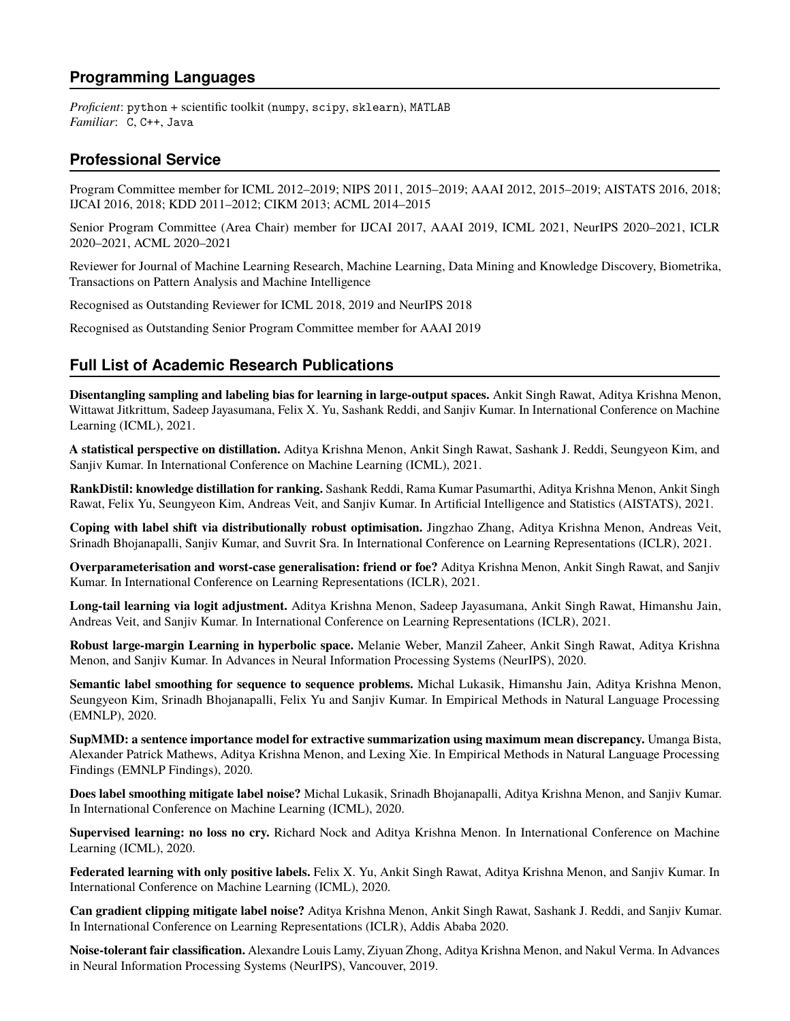## **Programming Languages**

*Proficient*: python + scientific toolkit (numpy, scipy, sklearn), MATLAB *Familiar*: C, C++, Java

## **Professional Service**

Program Committee member for ICML 2012–2019; NIPS 2011, 2015–2019; AAAI 2012, 2015–2019; AISTATS 2016, 2018; IJCAI 2016, 2018; KDD 2011–2012; CIKM 2013; ACML 2014–2015

Senior Program Committee (Area Chair) member for IJCAI 2017, AAAI 2019, ICML 2021, NeurIPS 2020–2021, ICLR 2020–2021, ACML 2020–2021

Reviewer for Journal of Machine Learning Research, Machine Learning, Data Mining and Knowledge Discovery, Biometrika, Transactions on Pattern Analysis and Machine Intelligence

Recognised as Outstanding Reviewer for ICML 2018, 2019 and NeurIPS 2018

Recognised as Outstanding Senior Program Committee member for AAAI 2019

## **Full List of Academic Research Publications**

**Disentangling sampling and labeling bias for learning in large-output spaces.** Ankit Singh Rawat, Aditya Krishna Menon, Wittawat Jitkrittum, Sadeep Jayasumana, Felix X. Yu, Sashank Reddi, and Sanjiv Kumar. In International Conference on Machine Learning (ICML), 2021.

**A statistical perspective on distillation.** Aditya Krishna Menon, Ankit Singh Rawat, Sashank J. Reddi, Seungyeon Kim, and Sanjiv Kumar. In International Conference on Machine Learning (ICML), 2021.

**RankDistil: knowledge distillation for ranking.** Sashank Reddi, Rama Kumar Pasumarthi, Aditya Krishna Menon, Ankit Singh Rawat, Felix Yu, Seungyeon Kim, Andreas Veit, and Sanjiv Kumar. In Artificial Intelligence and Statistics (AISTATS), 2021.

**Coping with label shift via distributionally robust optimisation.** Jingzhao Zhang, Aditya Krishna Menon, Andreas Veit, Srinadh Bhojanapalli, Sanjiv Kumar, and Suvrit Sra. In International Conference on Learning Representations (ICLR), 2021.

**Overparameterisation and worst-case generalisation: friend or foe?** Aditya Krishna Menon, Ankit Singh Rawat, and Sanjiv Kumar. In International Conference on Learning Representations (ICLR), 2021.

**Long-tail learning via logit adjustment.** Aditya Krishna Menon, Sadeep Jayasumana, Ankit Singh Rawat, Himanshu Jain, Andreas Veit, and Sanjiv Kumar. In International Conference on Learning Representations (ICLR), 2021.

**Robust large-margin Learning in hyperbolic space.** Melanie Weber, Manzil Zaheer, Ankit Singh Rawat, Aditya Krishna Menon, and Sanjiv Kumar. In Advances in Neural Information Processing Systems (NeurIPS), 2020.

**Semantic label smoothing for sequence to sequence problems.** Michal Lukasik, Himanshu Jain, Aditya Krishna Menon, Seungyeon Kim, Srinadh Bhojanapalli, Felix Yu and Sanjiv Kumar. In Empirical Methods in Natural Language Processing (EMNLP), 2020.

**SupMMD: a sentence importance model for extractive summarization using maximum mean discrepancy.** Umanga Bista, Alexander Patrick Mathews, Aditya Krishna Menon, and Lexing Xie. In Empirical Methods in Natural Language Processing Findings (EMNLP Findings), 2020.

**Does label smoothing mitigate label noise?** Michal Lukasik, Srinadh Bhojanapalli, Aditya Krishna Menon, and Sanjiv Kumar. In International Conference on Machine Learning (ICML), 2020.

**Supervised learning: no loss no cry.** Richard Nock and Aditya Krishna Menon. In International Conference on Machine Learning (ICML), 2020.

**Federated learning with only positive labels.** Felix X. Yu, Ankit Singh Rawat, Aditya Krishna Menon, and Sanjiv Kumar. In International Conference on Machine Learning (ICML), 2020.

**Can gradient clipping mitigate label noise?** Aditya Krishna Menon, Ankit Singh Rawat, Sashank J. Reddi, and Sanjiv Kumar. In International Conference on Learning Representations (ICLR), Addis Ababa 2020.

**Noise-tolerant fair classification.** Alexandre Louis Lamy, Ziyuan Zhong, Aditya Krishna Menon, and Nakul Verma. In Advances in Neural Information Processing Systems (NeurIPS), Vancouver, 2019.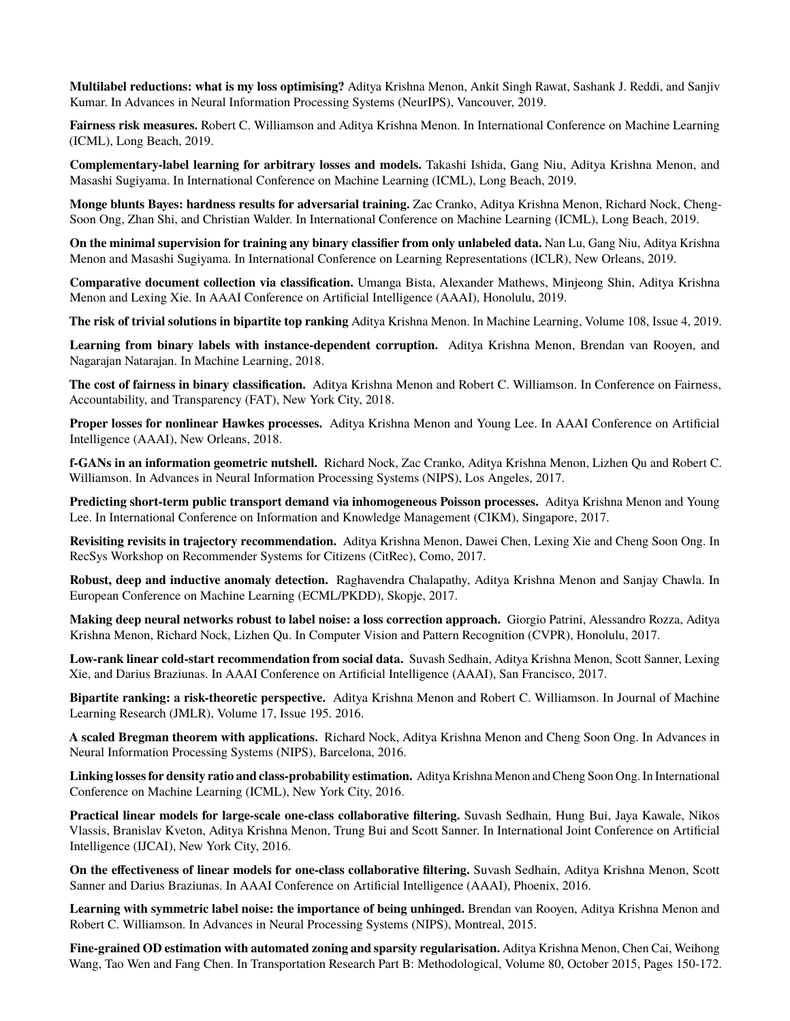**Multilabel reductions: what is my loss optimising?** Aditya Krishna Menon, Ankit Singh Rawat, Sashank J. Reddi, and Sanjiv Kumar. In Advances in Neural Information Processing Systems (NeurIPS), Vancouver, 2019.

**Fairness risk measures.** Robert C. Williamson and Aditya Krishna Menon. In International Conference on Machine Learning (ICML), Long Beach, 2019.

**Complementary-label learning for arbitrary losses and models.** Takashi Ishida, Gang Niu, Aditya Krishna Menon, and Masashi Sugiyama. In International Conference on Machine Learning (ICML), Long Beach, 2019.

**Monge blunts Bayes: hardness results for adversarial training.** Zac Cranko, Aditya Krishna Menon, Richard Nock, Cheng-Soon Ong, Zhan Shi, and Christian Walder. In International Conference on Machine Learning (ICML), Long Beach, 2019.

**On the minimal supervision for training any binary classifier from only unlabeled data.** Nan Lu, Gang Niu, Aditya Krishna Menon and Masashi Sugiyama. In International Conference on Learning Representations (ICLR), New Orleans, 2019.

**Comparative document collection via classification.** Umanga Bista, Alexander Mathews, Minjeong Shin, Aditya Krishna Menon and Lexing Xie. In AAAI Conference on Artificial Intelligence (AAAI), Honolulu, 2019.

**The risk of trivial solutions in bipartite top ranking** Aditya Krishna Menon. In Machine Learning, Volume 108, Issue 4, 2019.

**Learning from binary labels with instance-dependent corruption.** Aditya Krishna Menon, Brendan van Rooyen, and Nagarajan Natarajan. In Machine Learning, 2018.

**The cost of fairness in binary classification.** Aditya Krishna Menon and Robert C. Williamson. In Conference on Fairness, Accountability, and Transparency (FAT), New York City, 2018.

**Proper losses for nonlinear Hawkes processes.** Aditya Krishna Menon and Young Lee. In AAAI Conference on Artificial Intelligence (AAAI), New Orleans, 2018.

**f-GANs in an information geometric nutshell.** Richard Nock, Zac Cranko, Aditya Krishna Menon, Lizhen Qu and Robert C. Williamson. In Advances in Neural Information Processing Systems (NIPS), Los Angeles, 2017.

**Predicting short-term public transport demand via inhomogeneous Poisson processes.** Aditya Krishna Menon and Young Lee. In International Conference on Information and Knowledge Management (CIKM), Singapore, 2017.

**Revisiting revisits in trajectory recommendation.** Aditya Krishna Menon, Dawei Chen, Lexing Xie and Cheng Soon Ong. In RecSys Workshop on Recommender Systems for Citizens (CitRec), Como, 2017.

**Robust, deep and inductive anomaly detection.** Raghavendra Chalapathy, Aditya Krishna Menon and Sanjay Chawla. In European Conference on Machine Learning (ECML/PKDD), Skopje, 2017.

**Making deep neural networks robust to label noise: a loss correction approach.** Giorgio Patrini, Alessandro Rozza, Aditya Krishna Menon, Richard Nock, Lizhen Qu. In Computer Vision and Pattern Recognition (CVPR), Honolulu, 2017.

**Low-rank linear cold-start recommendation from social data.** Suvash Sedhain, Aditya Krishna Menon, Scott Sanner, Lexing Xie, and Darius Braziunas. In AAAI Conference on Artificial Intelligence (AAAI), San Francisco, 2017.

**Bipartite ranking: a risk-theoretic perspective.** Aditya Krishna Menon and Robert C. Williamson. In Journal of Machine Learning Research (JMLR), Volume 17, Issue 195. 2016.

**A scaled Bregman theorem with applications.** Richard Nock, Aditya Krishna Menon and Cheng Soon Ong. In Advances in Neural Information Processing Systems (NIPS), Barcelona, 2016.

**Linking losses for density ratio and class-probability estimation.** Aditya Krishna Menon and Cheng Soon Ong. In International Conference on Machine Learning (ICML), New York City, 2016.

**Practical linear models for large-scale one-class collaborative filtering.** Suvash Sedhain, Hung Bui, Jaya Kawale, Nikos Vlassis, Branislav Kveton, Aditya Krishna Menon, Trung Bui and Scott Sanner. In International Joint Conference on Artificial Intelligence (IJCAI), New York City, 2016.

**On the effectiveness of linear models for one-class collaborative filtering.** Suvash Sedhain, Aditya Krishna Menon, Scott Sanner and Darius Braziunas. In AAAI Conference on Artificial Intelligence (AAAI), Phoenix, 2016.

**Learning with symmetric label noise: the importance of being unhinged.** Brendan van Rooyen, Aditya Krishna Menon and Robert C. Williamson. In Advances in Neural Processing Systems (NIPS), Montreal, 2015.

**Fine-grained OD estimation with automated zoning and sparsity regularisation.** Aditya Krishna Menon, Chen Cai, Weihong Wang, Tao Wen and Fang Chen. In Transportation Research Part B: Methodological, Volume 80, October 2015, Pages 150-172.